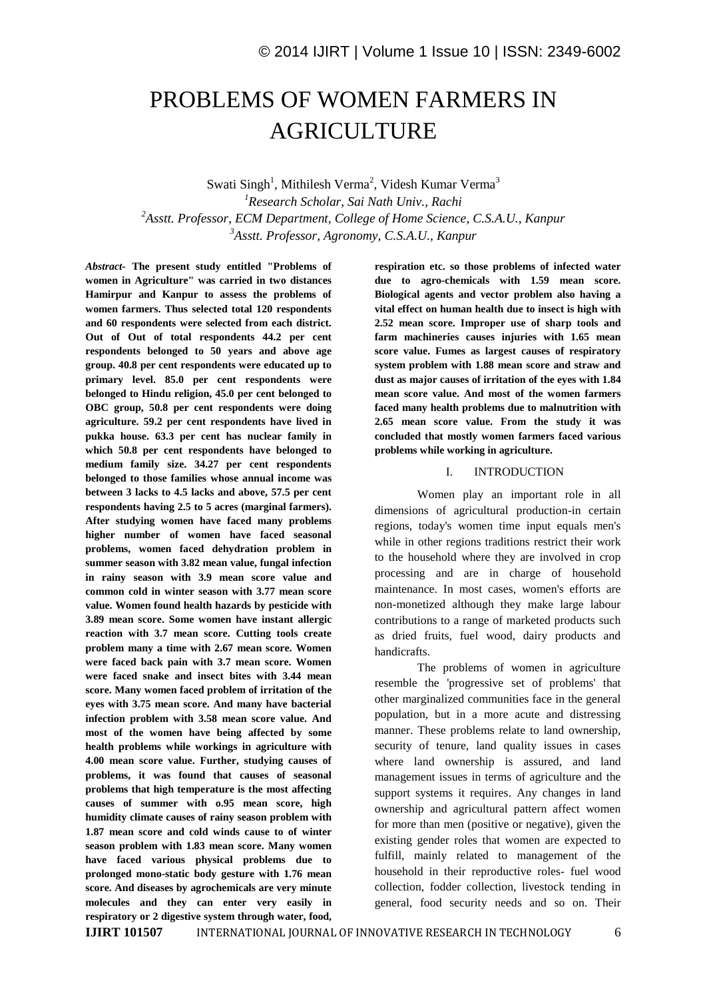# PROBLEMS OF WOMEN FARMERS IN AGRICULTURE

Swati Singh<sup>1</sup>, Mithilesh Verma<sup>2</sup>, Videsh Kumar Verma<sup>3</sup> *Research Scholar, Sai Nath Univ., Rachi Asstt. Professor, ECM Department, College of Home Science, C.S.A.U., Kanpur Asstt. Professor, Agronomy, C.S.A.U., Kanpur*

*Abstract-* **The present study entitled "Problems of women in Agriculture" was carried in two distances Hamirpur and Kanpur to assess the problems of women farmers. Thus selected total 120 respondents and 60 respondents were selected from each district. Out of Out of total respondents 44.2 per cent respondents belonged to 50 years and above age group. 40.8 per cent respondents were educated up to primary level. 85.0 per cent respondents were belonged to Hindu religion, 45.0 per cent belonged to OBC group, 50.8 per cent respondents were doing agriculture. 59.2 per cent respondents have lived in pukka house. 63.3 per cent has nuclear family in which 50.8 per cent respondents have belonged to medium family size. 34.27 per cent respondents belonged to those families whose annual income was between 3 lacks to 4.5 lacks and above, 57.5 per cent respondents having 2.5 to 5 acres (marginal farmers). After studying women have faced many problems higher number of women have faced seasonal problems, women faced dehydration problem in summer season with 3.82 mean value, fungal infection in rainy season with 3.9 mean score value and common cold in winter season with 3.77 mean score value. Women found health hazards by pesticide with 3.89 mean score. Some women have instant allergic reaction with 3.7 mean score. Cutting tools create problem many a time with 2.67 mean score. Women were faced back pain with 3.7 mean score. Women were faced snake and insect bites with 3.44 mean score. Many women faced problem of irritation of the eyes with 3.75 mean score. And many have bacterial infection problem with 3.58 mean score value. And most of the women have being affected by some health problems while workings in agriculture with 4.00 mean score value. Further, studying causes of problems, it was found that causes of seasonal problems that high temperature is the most affecting causes of summer with o.95 mean score, high humidity climate causes of rainy season problem with 1.87 mean score and cold winds cause to of winter season problem with 1.83 mean score. Many women have faced various physical problems due to prolonged mono-static body gesture with 1.76 mean score. And diseases by agrochemicals are very minute molecules and they can enter very easily in respiratory or 2 digestive system through water, food,**  **respiration etc. so those problems of infected water due to agro-chemicals with 1.59 mean score. Biological agents and vector problem also having a vital effect on human health due to insect is high with 2.52 mean score. Improper use of sharp tools and farm machineries causes injuries with 1.65 mean score value. Fumes as largest causes of respiratory system problem with 1.88 mean score and straw and dust as major causes of irritation of the eyes with 1.84 mean score value. And most of the women farmers faced many health problems due to malnutrition with 2.65 mean score value. From the study it was concluded that mostly women farmers faced various problems while working in agriculture.** 

## I. INTRODUCTION

Women play an important role in all dimensions of agricultural production-in certain regions, today's women time input equals men's while in other regions traditions restrict their work to the household where they are involved in crop processing and are in charge of household maintenance. In most cases, women's efforts are non-monetized although they make large labour contributions to a range of marketed products such as dried fruits, fuel wood, dairy products and handicrafts.

The problems of women in agriculture resemble the 'progressive set of problems' that other marginalized communities face in the general population, but in a more acute and distressing manner. These problems relate to land ownership, security of tenure, land quality issues in cases where land ownership is assured, and land management issues in terms of agriculture and the support systems it requires. Any changes in land ownership and agricultural pattern affect women for more than men (positive or negative), given the existing gender roles that women are expected to fulfill, mainly related to management of the household in their reproductive roles- fuel wood collection, fodder collection, livestock tending in general, food security needs and so on. Their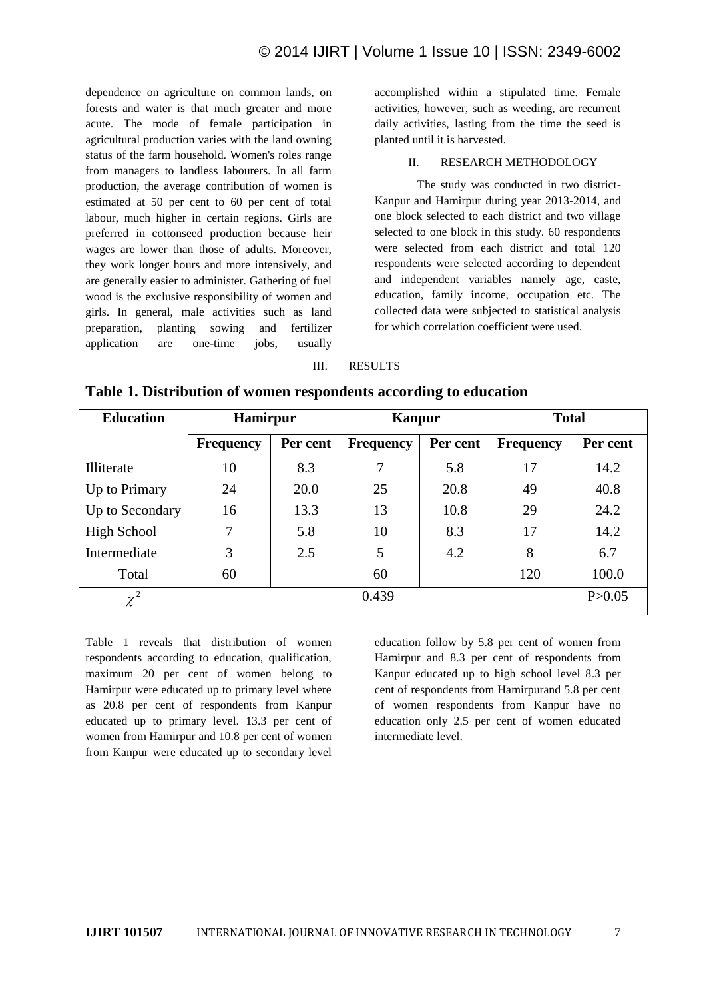dependence on agriculture on common lands, on forests and water is that much greater and more acute. The mode of female participation in agricultural production varies with the land owning status of the farm household. Women's roles range from managers to landless labourers. In all farm production, the average contribution of women is estimated at 50 per cent to 60 per cent of total labour, much higher in certain regions. Girls are preferred in cottonseed production because heir wages are lower than those of adults. Moreover, they work longer hours and more intensively, and are generally easier to administer. Gathering of fuel wood is the exclusive responsibility of women and girls. In general, male activities such as land preparation, planting sowing and fertilizer application are one-time jobs, usually accomplished within a stipulated time. Female activities, however, such as weeding, are recurrent daily activities, lasting from the time the seed is planted until it is harvested.

## II. RESEARCH METHODOLOGY

The study was conducted in two district-Kanpur and Hamirpur during year 2013-2014, and one block selected to each district and two village selected to one block in this study. 60 respondents were selected from each district and total 120 respondents were selected according to dependent and independent variables namely age, caste, education, family income, occupation etc. The collected data were subjected to statistical analysis for which correlation coefficient were used.

#### III. RESULTS

| <b>Education</b> | <b>Hamirpur</b>  |          | <b>Kanpur</b>    |          | <b>Total</b>     |          |  |
|------------------|------------------|----------|------------------|----------|------------------|----------|--|
|                  | <b>Frequency</b> | Per cent | <b>Frequency</b> | Per cent | <b>Frequency</b> | Per cent |  |
| Illiterate       | 10               | 8.3      | 7                | 5.8      | 17               | 14.2     |  |
| Up to Primary    | 24               | 20.0     | 25               | 20.8     | 49               | 40.8     |  |
| Up to Secondary  | 16               | 13.3     | 13               | 10.8     | 29               | 24.2     |  |
| High School      | 7                | 5.8      | 10               | 8.3      | 17               | 14.2     |  |
| Intermediate     | 3                | 2.5      | 5                | 4.2      | 8                | 6.7      |  |
| Total            | 60               |          | 60               |          | 120              | 100.0    |  |
| $\chi^2$         |                  | P > 0.05 |                  |          |                  |          |  |

**Table 1. Distribution of women respondents according to education** 

Table 1 reveals that distribution of women respondents according to education, qualification, maximum 20 per cent of women belong to Hamirpur were educated up to primary level where as 20.8 per cent of respondents from Kanpur educated up to primary level. 13.3 per cent of women from Hamirpur and 10.8 per cent of women from Kanpur were educated up to secondary level education follow by 5.8 per cent of women from Hamirpur and 8.3 per cent of respondents from Kanpur educated up to high school level 8.3 per cent of respondents from Hamirpurand 5.8 per cent of women respondents from Kanpur have no education only 2.5 per cent of women educated intermediate level.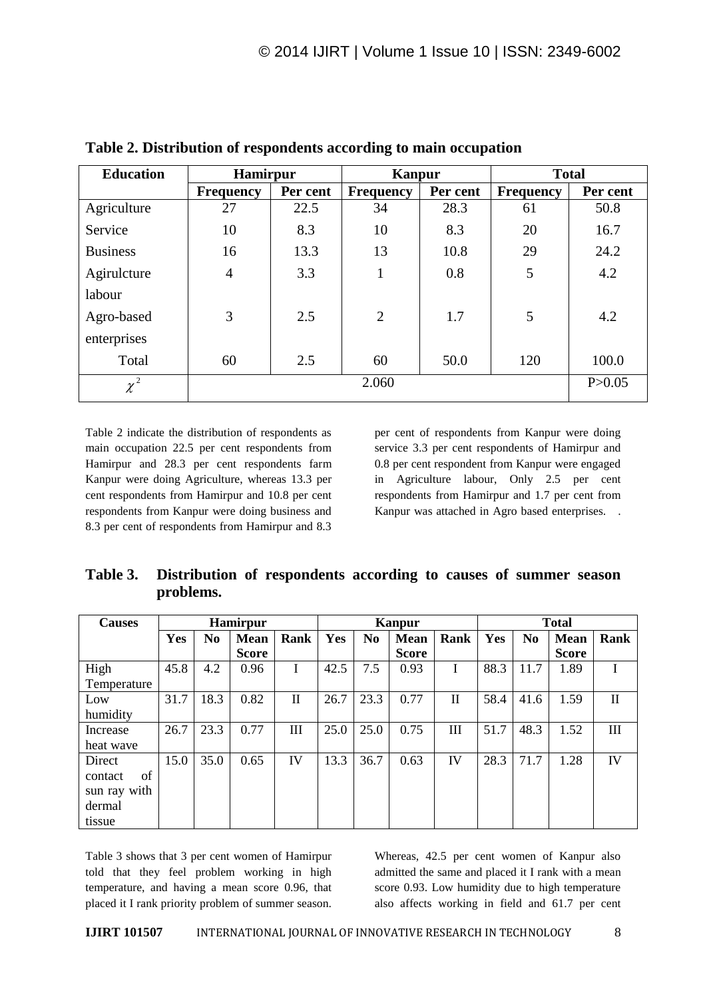| <b>Education</b> | <b>Hamirpur</b>  |          | <b>Kanpur</b>    |          | <b>Total</b>     |          |  |  |
|------------------|------------------|----------|------------------|----------|------------------|----------|--|--|
|                  | <b>Frequency</b> | Per cent | <b>Frequency</b> | Per cent | <b>Frequency</b> | Per cent |  |  |
| Agriculture      | 27               | 22.5     | 34               | 28.3     | 61               | 50.8     |  |  |
| Service          | 10               | 8.3      | 10               | 8.3      | 20               | 16.7     |  |  |
| <b>Business</b>  | 16               | 13.3     | 13               | 10.8     | 29               | 24.2     |  |  |
| Agirulcture      | $\overline{4}$   | 3.3      | $\mathbf{1}$     | 0.8      | 5                | 4.2      |  |  |
| labour           |                  |          |                  |          |                  |          |  |  |
| Agro-based       | 3                | 2.5      | $\overline{2}$   | 1.7      | 5                | 4.2      |  |  |
| enterprises      |                  |          |                  |          |                  |          |  |  |
| Total            | 60               | 2.5      | 60               | 50.0     | 120              | 100.0    |  |  |
| $\chi^2$         |                  |          | 2.060            |          |                  | P > 0.05 |  |  |

**Table 2. Distribution of respondents according to main occupation** 

Table 2 indicate the distribution of respondents as main occupation 22.5 per cent respondents from Hamirpur and 28.3 per cent respondents farm Kanpur were doing Agriculture, whereas 13.3 per cent respondents from Hamirpur and 10.8 per cent respondents from Kanpur were doing business and 8.3 per cent of respondents from Hamirpur and 8.3

per cent of respondents from Kanpur were doing service 3.3 per cent respondents of Hamirpur and 0.8 per cent respondent from Kanpur were engaged in Agriculture labour, Only 2.5 per cent respondents from Hamirpur and 1.7 per cent from Kanpur was attached in Agro based enterprises. .

**Table 3. Distribution of respondents according to causes of summer season problems.**

| <b>Causes</b> | <b>Hamirpur</b> |                |              |              |      | <b>Kanpur</b>  |              |      |      | <b>Total</b>   |              |              |  |
|---------------|-----------------|----------------|--------------|--------------|------|----------------|--------------|------|------|----------------|--------------|--------------|--|
|               | Yes             | N <sub>0</sub> | <b>Mean</b>  | <b>Rank</b>  | Yes  | N <sub>0</sub> | <b>Mean</b>  | Rank | Yes  | N <sub>0</sub> | Mean         | Rank         |  |
|               |                 |                | <b>Score</b> |              |      |                | <b>Score</b> |      |      |                | <b>Score</b> |              |  |
| High          | 45.8            | 4.2            | 0.96         |              | 42.5 | 7.5            | 0.93         | I    | 88.3 | 11.7           | 1.89         |              |  |
| Temperature   |                 |                |              |              |      |                |              |      |      |                |              |              |  |
| Low           | 31.7            | 18.3           | 0.82         | $\mathbf{I}$ | 26.7 | 23.3           | 0.77         | П    | 58.4 | 41.6           | 1.59         | $\mathbf{I}$ |  |
| humidity      |                 |                |              |              |      |                |              |      |      |                |              |              |  |
| Increase      | 26.7            | 23.3           | 0.77         | III          | 25.0 | 25.0           | 0.75         | III  | 51.7 | 48.3           | 1.52         | Ш            |  |
| heat wave     |                 |                |              |              |      |                |              |      |      |                |              |              |  |
| Direct        | 15.0            | 35.0           | 0.65         | IV           | 13.3 | 36.7           | 0.63         | IV   | 28.3 | 71.7           | 1.28         | IV           |  |
| of<br>contact |                 |                |              |              |      |                |              |      |      |                |              |              |  |
| sun ray with  |                 |                |              |              |      |                |              |      |      |                |              |              |  |
| dermal        |                 |                |              |              |      |                |              |      |      |                |              |              |  |
| tissue        |                 |                |              |              |      |                |              |      |      |                |              |              |  |

Table 3 shows that 3 per cent women of Hamirpur told that they feel problem working in high temperature, and having a mean score 0.96, that placed it I rank priority problem of summer season. Whereas, 42.5 per cent women of Kanpur also admitted the same and placed it I rank with a mean score 0.93. Low humidity due to high temperature also affects working in field and 61.7 per cent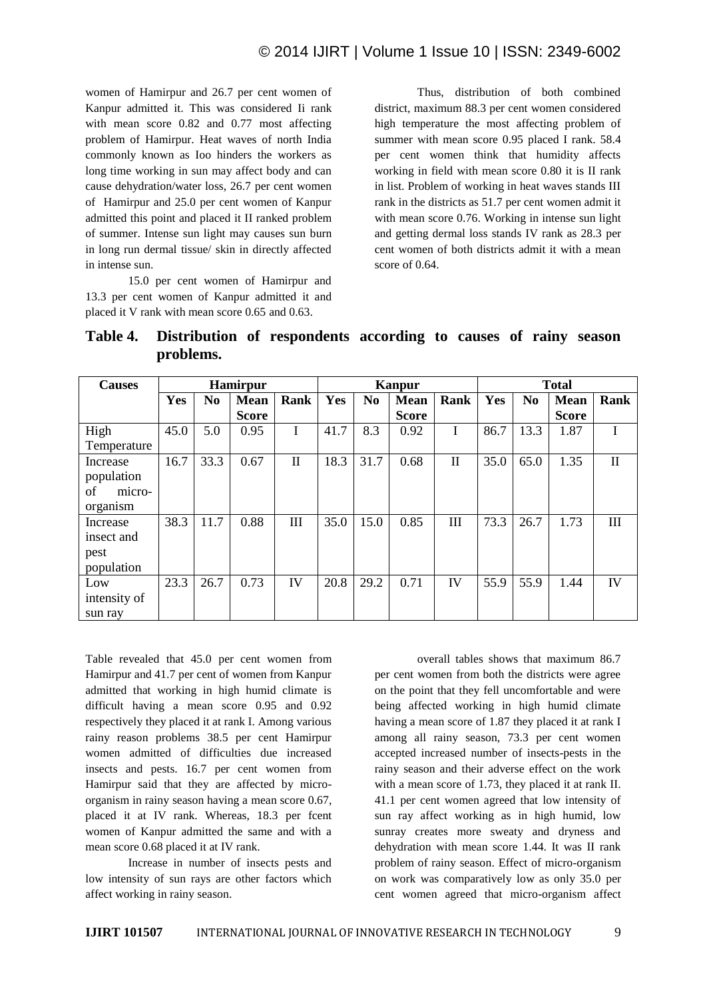women of Hamirpur and 26.7 per cent women of Kanpur admitted it. This was considered Ii rank with mean score 0.82 and 0.77 most affecting problem of Hamirpur. Heat waves of north India commonly known as Ioo hinders the workers as long time working in sun may affect body and can cause dehydration/water loss, 26.7 per cent women of Hamirpur and 25.0 per cent women of Kanpur admitted this point and placed it II ranked problem of summer. Intense sun light may causes sun burn in long run dermal tissue/ skin in directly affected in intense sun.

15.0 per cent women of Hamirpur and 13.3 per cent women of Kanpur admitted it and placed it V rank with mean score 0.65 and 0.63.

Thus, distribution of both combined district, maximum 88.3 per cent women considered high temperature the most affecting problem of summer with mean score 0.95 placed I rank. 58.4 per cent women think that humidity affects working in field with mean score 0.80 it is II rank in list. Problem of working in heat waves stands III rank in the districts as 51.7 per cent women admit it with mean score 0.76. Working in intense sun light and getting dermal loss stands IV rank as 28.3 per cent women of both districts admit it with a mean score of 0.64.

| Table 4. Distribution of respondents according to causes of rainy season |  |  |  |  |
|--------------------------------------------------------------------------|--|--|--|--|
| problems.                                                                |  |  |  |  |

| <b>Causes</b> | <b>Hamirpur</b> |                |              |              |      | <b>Kanpur</b>  |              |              |      | <b>Total</b>   |              |              |  |
|---------------|-----------------|----------------|--------------|--------------|------|----------------|--------------|--------------|------|----------------|--------------|--------------|--|
|               | Yes             | N <sub>0</sub> | <b>Mean</b>  | Rank         | Yes  | N <sub>0</sub> | <b>Mean</b>  | <b>Rank</b>  | Yes  | N <sub>0</sub> | <b>Mean</b>  | Rank         |  |
|               |                 |                | <b>Score</b> |              |      |                | <b>Score</b> |              |      |                | <b>Score</b> |              |  |
| High          | 45.0            | 5.0            | 0.95         |              | 41.7 | 8.3            | 0.92         | I            | 86.7 | 13.3           | 1.87         |              |  |
| Temperature   |                 |                |              |              |      |                |              |              |      |                |              |              |  |
| Increase      | 16.7            | 33.3           | 0.67         | $\mathbf{I}$ | 18.3 | 31.7           | 0.68         | $\mathbf{I}$ | 35.0 | 65.0           | 1.35         | $\mathbf{I}$ |  |
| population    |                 |                |              |              |      |                |              |              |      |                |              |              |  |
| of<br>micro-  |                 |                |              |              |      |                |              |              |      |                |              |              |  |
| organism      |                 |                |              |              |      |                |              |              |      |                |              |              |  |
| Increase      | 38.3            | 11.7           | 0.88         | Ш            | 35.0 | 15.0           | 0.85         | Ш            | 73.3 | 26.7           | 1.73         | Ш            |  |
| insect and    |                 |                |              |              |      |                |              |              |      |                |              |              |  |
| pest          |                 |                |              |              |      |                |              |              |      |                |              |              |  |
| population    |                 |                |              |              |      |                |              |              |      |                |              |              |  |
| Low           | 23.3            | 26.7           | 0.73         | IV           | 20.8 | 29.2           | 0.71         | IV           | 55.9 | 55.9           | 1.44         | IV           |  |
| intensity of  |                 |                |              |              |      |                |              |              |      |                |              |              |  |
| sun ray       |                 |                |              |              |      |                |              |              |      |                |              |              |  |

Table revealed that 45.0 per cent women from Hamirpur and 41.7 per cent of women from Kanpur admitted that working in high humid climate is difficult having a mean score 0.95 and 0.92 respectively they placed it at rank I. Among various rainy reason problems 38.5 per cent Hamirpur women admitted of difficulties due increased insects and pests. 16.7 per cent women from Hamirpur said that they are affected by microorganism in rainy season having a mean score 0.67, placed it at IV rank. Whereas, 18.3 per fcent women of Kanpur admitted the same and with a mean score 0.68 placed it at IV rank.

Increase in number of insects pests and low intensity of sun rays are other factors which affect working in rainy season.

overall tables shows that maximum 86.7 per cent women from both the districts were agree on the point that they fell uncomfortable and were being affected working in high humid climate having a mean score of 1.87 they placed it at rank I among all rainy season, 73.3 per cent women accepted increased number of insects-pests in the rainy season and their adverse effect on the work with a mean score of 1.73, they placed it at rank II. 41.1 per cent women agreed that low intensity of sun ray affect working as in high humid, low sunray creates more sweaty and dryness and dehydration with mean score 1.44. It was II rank problem of rainy season. Effect of micro-organism on work was comparatively low as only 35.0 per cent women agreed that micro-organism affect